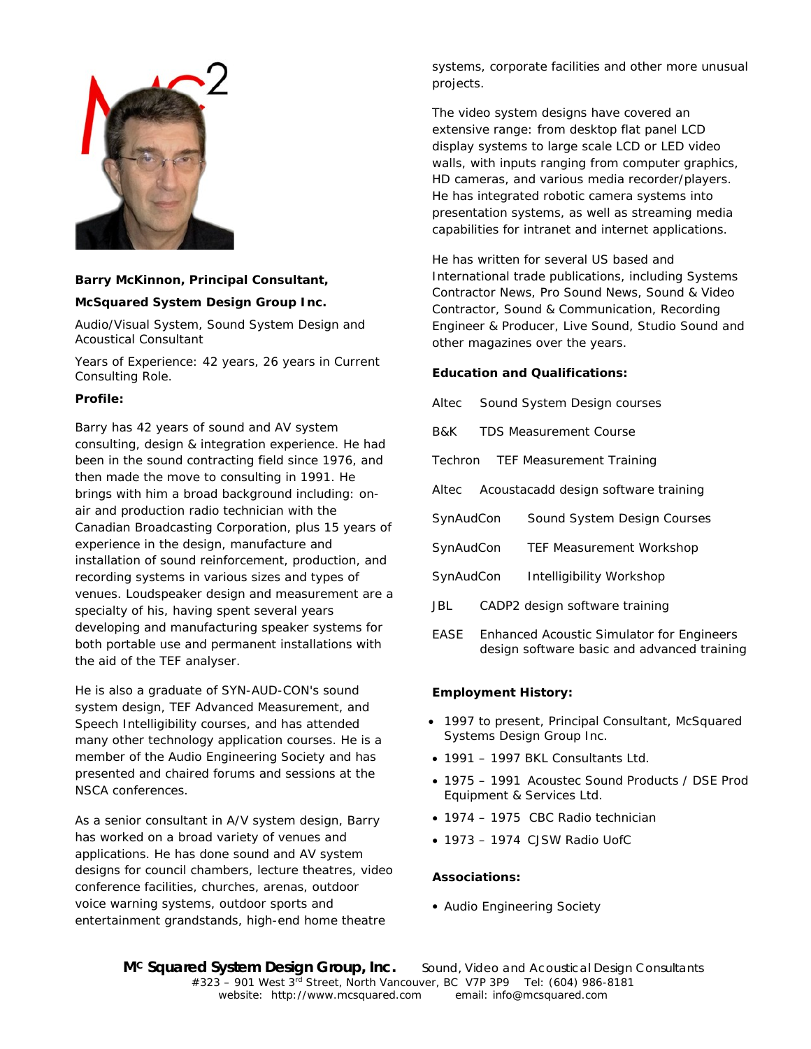

# **Barry McKinnon, Principal Consultant,**

## **McSquared System Design Group Inc.**

Audio/Visual System, Sound System Design and Acoustical Consultant

Years of Experience: 42 years, 26 years in Current Consulting Role.

## **Profile:**

Barry has 42 years of sound and AV system consulting, design & integration experience. He had been in the sound contracting field since 1976, and then made the move to consulting in 1991. He brings with him a broad background including: onair and production radio technician with the Canadian Broadcasting Corporation, plus 15 years of experience in the design, manufacture and installation of sound reinforcement, production, and recording systems in various sizes and types of venues. Loudspeaker design and measurement are a specialty of his, having spent several years developing and manufacturing speaker systems for both portable use and permanent installations with the aid of the TEF analyser.

He is also a graduate of SYN-AUD-CON's sound system design, TEF Advanced Measurement, and Speech Intelligibility courses, and has attended many other technology application courses. He is a member of the Audio Engineering Society and has presented and chaired forums and sessions at the NSCA conferences.

As a senior consultant in A/V system design, Barry has worked on a broad variety of venues and applications. He has done sound and AV system designs for council chambers, lecture theatres, video conference facilities, churches, arenas, outdoor voice warning systems, outdoor sports and entertainment grandstands, high-end home theatre

systems, corporate facilities and other more unusual projects.

The video system designs have covered an extensive range: from desktop flat panel LCD display systems to large scale LCD or LED video walls, with inputs ranging from computer graphics, HD cameras, and various media recorder/players. He has integrated robotic camera systems into presentation systems, as well as streaming media capabilities for intranet and internet applications.

He has written for several US based and International trade publications, including Systems Contractor News, Pro Sound News, Sound & Video Contractor, Sound & Communication, Recording Engineer & Producer, Live Sound, Studio Sound and other magazines over the years.

#### **Education and Qualifications:**

- Altec Sound System Design courses
- B&K TDS Measurement Course
- Techron TEF Measurement Training
- Altec Acoustacadd design software training
- SynAudCon Sound System Design Courses
- SynAudCon TEF Measurement Workshop
- SynAudCon Intelligibility Workshop
- JBL CADP2 design software training
- EASE Enhanced Acoustic Simulator for Engineers design software basic and advanced training

## **Employment History:**

- 1997 to present, Principal Consultant, McSquared Systems Design Group Inc.
- 1991 1997 BKL Consultants Ltd.
- 1975 1991 Acoustec Sound Products / DSE Prod Equipment & Services Ltd.
- 1974 1975 CBC Radio technician
- 1973 1974 CJSW Radio UofC

## **Associations:**

• Audio Engineering Society